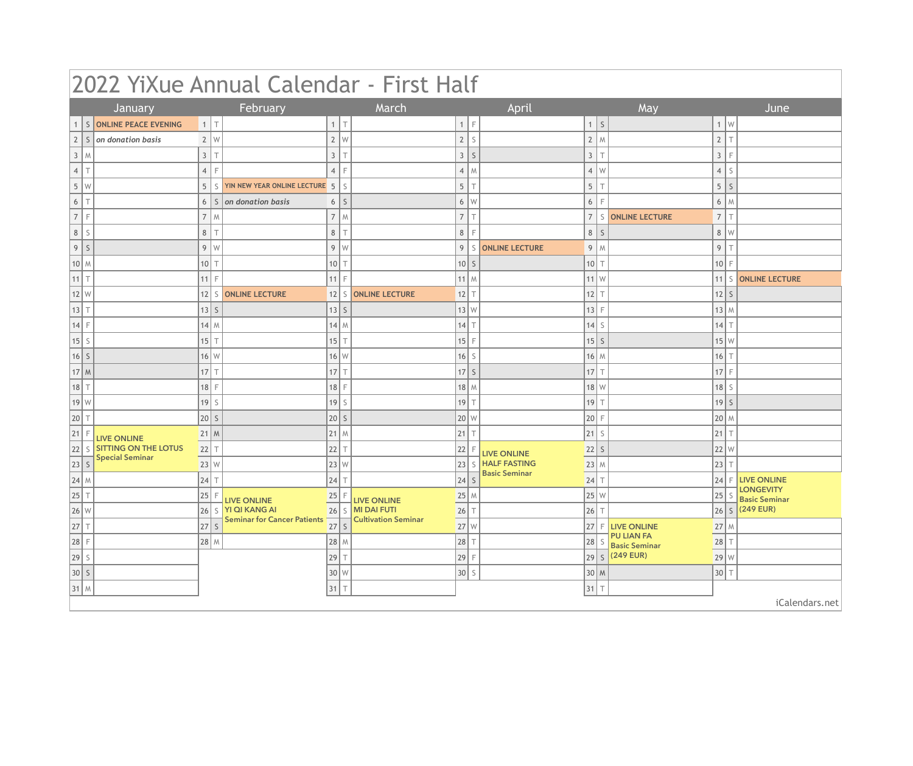| 2022 YiXue Annual Calendar - First Half |                                   |                      |                                                           |                        |                            |              |              |                      |                          |           |                                           |                               |                         |                                        |
|-----------------------------------------|-----------------------------------|----------------------|-----------------------------------------------------------|------------------------|----------------------------|--------------|--------------|----------------------|--------------------------|-----------|-------------------------------------------|-------------------------------|-------------------------|----------------------------------------|
|                                         | January                           |                      | February                                                  |                        | March                      |              |              | April                |                          |           | May                                       |                               |                         | June                                   |
|                                         | S ONLINE PEACE EVENING            | $1$ $\top$           |                                                           | $\top$<br>$\mathbf{1}$ |                            | 1            | $\mathsf{F}$ |                      | $\mathbf{1}$             | $\vert$ S |                                           | 1                             | l w                     |                                        |
|                                         | $2 \mid S \mid$ on donation basis | $2 \mid W$           |                                                           | 2<br>W                 |                            | 2            | S            |                      | $2 \mid M$               |           |                                           | $\mathbf{2}$                  |                         |                                        |
| 3<br>M                                  |                                   | 3 <sup>1</sup><br>T  |                                                           | $\mathbf{3}$<br>$\top$ |                            | $3 \mid S$   |              |                      | $\mathfrak{Z}$           |           |                                           | $\mathfrak{Z}$                |                         |                                        |
| T<br>4 <sup>1</sup>                     |                                   | $\overline{4}$<br>F  |                                                           | E<br>$\overline{4}$    |                            | $4 \mid M$   |              |                      | $4 \mid W$               |           |                                           | $\overline{4}$                | -S                      |                                        |
| $5 \mid W$                              |                                   | 5 <sup>5</sup>       | S   YIN NEW YEAR ONLINE LECTURE 5                         | S                      |                            | 5            | $\top$       |                      | $\sqrt{5}$               |           |                                           | 5                             | $\overline{\mathsf{S}}$ |                                        |
| 6<br>T                                  |                                   |                      | $6 \mid S \mid$ on donation basis                         | S<br>6                 |                            | $6 \mid W$   |              |                      | $\boldsymbol{6}$         |           |                                           | $6\,$                         | M                       |                                        |
| 7 <sup>1</sup><br>$\mathsf F$           |                                   | $\overline{7}$<br>W  |                                                           | $\overline{7}$<br>W    |                            | 7            | $\top$       |                      | $\overline{\mathcal{I}}$ | S         | <b>ONLINE LECTURE</b>                     | $\overline{\mathcal{I}}$      | $\top$                  |                                        |
| 8 <br>$\mathsf S$                       |                                   | 8<br>T               |                                                           | 8<br>T                 |                            | 8            |              |                      | $\,8\,$                  | -S        |                                           | $\,8\,$                       | W                       |                                        |
| $\mathsf S$<br>9                        |                                   | $9$ W                |                                                           | 9<br>W                 |                            | 9            |              | S ONLINE LECTURE     | 9                        | l M       |                                           | 9                             |                         |                                        |
| 10 M                                    |                                   | 10<br>T              |                                                           | 10<br>T                |                            | $10$ S       |              |                      | 10                       |           |                                           | $10$ F                        |                         |                                        |
| $11$ T                                  |                                   | 11<br>F              |                                                           | 11 <br>F               |                            | $11$ M       |              |                      | $11$ W                   |           |                                           |                               |                         | 11   S   ONLINE LECTURE                |
| 12 W                                    |                                   | 12                   | S ONLINE LECTURE                                          |                        | 12   S   ONLINE LECTURE    | $12$ T       |              |                      | 12                       |           |                                           | $12$ S                        |                         |                                        |
| 13 <br>$\top$                           |                                   | $13$ S               |                                                           | $13$ S                 |                            | 13 W         |              |                      | $13$ F                   |           |                                           | $13$ M                        |                         |                                        |
| $14$ F                                  |                                   | $14$ M               |                                                           | $14$ M                 |                            | $14$ T       |              |                      | 14                       | -S        |                                           | $14$ T                        |                         |                                        |
| 15 <br>S                                |                                   | $15$ T               |                                                           | 15<br>T                |                            | $15$ F       |              |                      | $15$ S                   |           |                                           |                               | $15$ W                  |                                        |
| $16$ S                                  |                                   | $16$ W               |                                                           | $16$ W                 |                            | $16$ S       |              |                      | $16$ M                   |           |                                           | $16$ $\overline{\phantom{1}}$ |                         |                                        |
| $17$ M                                  |                                   | $17$ $\top$          |                                                           | $17$ $\top$            |                            | $17$ S       |              |                      | 17                       |           |                                           | $17$ F                        |                         |                                        |
| 18<br>$\top$                            |                                   | 18<br>F              |                                                           | 18<br>F                |                            | $18$ M       |              |                      | $18$ W                   |           |                                           | $18$ S                        |                         |                                        |
| 19 W                                    |                                   | 19<br>$\overline{S}$ |                                                           | 19<br>S                |                            | $19$ T       |              |                      | 19                       |           |                                           | $19$ S                        |                         |                                        |
| 20 <br>T                                |                                   | 20 S                 |                                                           | $20$ S                 |                            | $20 \mid W$  |              |                      | 20                       |           |                                           | $20$ M                        |                         |                                        |
| 21 <br>F                                | <b>LIVE ONLINE</b>                | $21$ M               |                                                           | $21$ M                 |                            | $21$ T       |              |                      | 21                       | S         |                                           | 21                            |                         |                                        |
| S<br> 22                                | <b>SITTING ON THE LOTUS</b>       | $22$ T               |                                                           | 22 <br>T               |                            | 22           |              | <b>LIVE ONLINE</b>   | $22$ S                   |           |                                           | 22 W                          |                         |                                        |
| 23 S                                    | <b>Special Seminar</b>            | 23 W                 |                                                           | 23 W                   |                            | 23           |              | <b>HALF FASTING</b>  | $23$ M                   |           |                                           | $23$ T                        |                         |                                        |
| $ 24 $ M                                |                                   | 24 <br>T             |                                                           | 24 <br>T               |                            | $ 24 $ S     |              | <b>Basic Seminar</b> | 24                       |           |                                           |                               |                         | 24 F LIVE ONLINE                       |
| $ 25 \tau$                              |                                   | 25 F                 | LIVE ONLINE                                               | $25$ F                 | LIVE ONLINE                | $25$ M       |              |                      | 25 w                     |           |                                           |                               |                         | <b>LONGEVITY</b><br>25 S Basic Seminar |
| $26\vert w$                             |                                   |                      | 26 S YI QI KANG AI                                        |                        | 26   S   MI DAI FUTI       | $26$ T       |              |                      | $ 26 $ T                 |           |                                           |                               |                         | $ 26 s $ (249 EUR)                     |
| $ 27 $ T                                |                                   | $\overline{27}$ s    | <b>YI OI KAINO A.</b><br>Seminar for Cancer Patients 27 S |                        | <b>Cultivation Seminar</b> | $27\text{W}$ |              |                      |                          |           | 27 F LIVE ONLINE                          |                               | $27$ M                  |                                        |
| 28 F                                    |                                   | 28 M                 |                                                           | $28$ M                 |                            | 28 T         |              |                      | 28 s                     |           | <b>PU LIAN FA</b><br><b>Basic Seminar</b> | $28$ T                        |                         |                                        |
| $\left 29\right $ S                     |                                   |                      |                                                           | 29 T                   |                            | 29 F         |              |                      |                          |           | 29 S (249 EUR)                            | 29 W                          |                         |                                        |
| 30 S                                    |                                   |                      |                                                           | $30 \mid W$            |                            | 30 s         |              |                      | $30 \mid M$              |           |                                           | $30$ T                        |                         |                                        |
| $31$ M                                  |                                   |                      |                                                           | $31$ T                 |                            |              |              |                      | $31$ T                   |           |                                           |                               |                         |                                        |
|                                         |                                   |                      |                                                           |                        |                            |              |              |                      |                          |           |                                           |                               |                         | iCalendars.net                         |